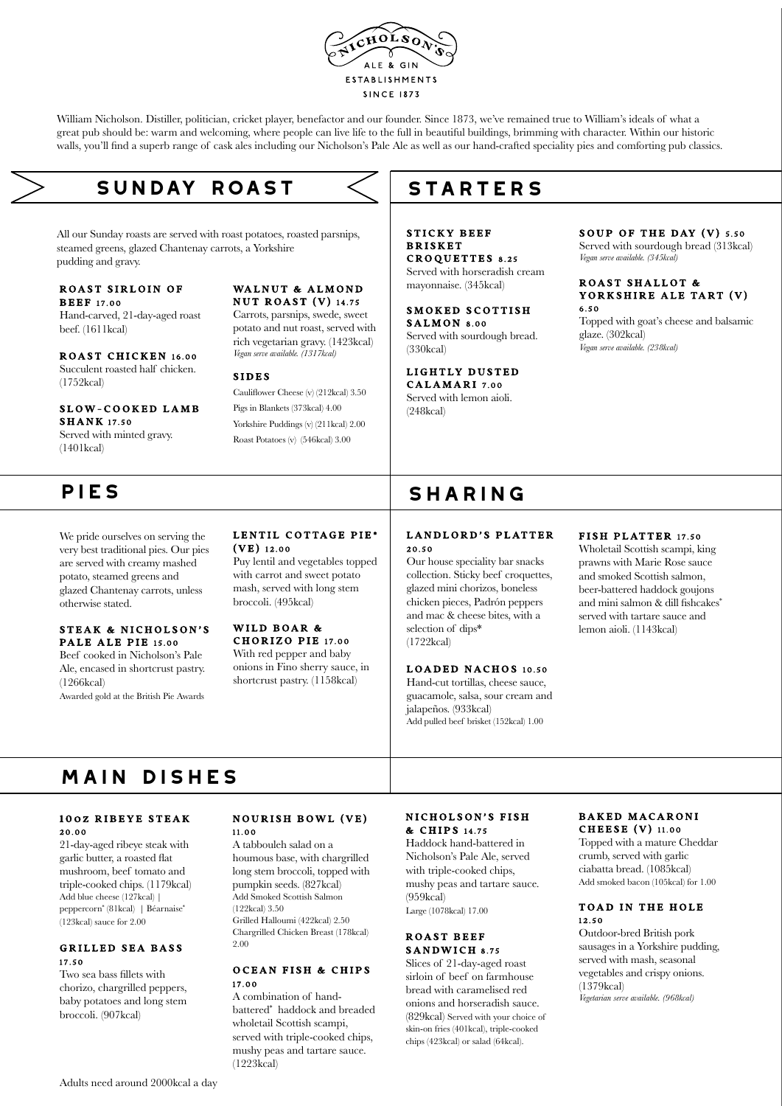

William Nicholson. Distiller, politician, cricket player, benefactor and our founder. Since 1873, we've remained true to William's ideals of what a great pub should be: warm and welcoming, where people can live life to the full in beautiful buildings, brimming with character. Within our historic walls, you'll find a superb range of cask ales including our Nicholson's Pale Ale as well as our hand-crafted speciality pies and comforting pub classics.

# **sunday roast**

All our Sunday roasts are served with roast potatoes, roasted parsnips, steamed greens, glazed Chantenay carrots, a Yorkshire pudding and gravy.

#### ROAST SIRLOIN OF **BEEF 17.00**

Hand-carved, 21-day-aged roast beef. (1611kcal)

ROAST CHICKEN 16.00 Succulent roasted half chicken. (1752kcal)

SLOW-COOKED LAMB

**SHANK 17.50** Served with minted gravy. (1401kcal)

We pride ourselves on serving the very best traditional pies. Our pies are served with creamy mashed potato, steamed greens and glazed Chantenay carrots, unless otherwise stated.

#### STEAK & NICHOLSON'S PALE ALE PIE 15.00

Beef cooked in Nicholson's Pale Ale, encased in shortcrust pastry. (1266kcal)

Awarded gold at the British Pie Awards

#### WALNUT & ALMOND NUT ROAST  $(V)$  14.75

Carrots, parsnips, swede, sweet potato and nut roast, served with rich vegetarian gravy. (1423kcal) *Vegan serve available. (1317kcal)*

#### SIDES

(VE) 12.00

Cauliflower Cheese (v) (212kcal) 3.50 Pigs in Blankets (373kcal) 4.00 Yorkshire Puddings (v) (211kcal) 2.00 Roast Potatoes (v) (546kcal) 3.00

LENTIL COTTAGE PIE\*

Puy lentil and vegetables topped with carrot and sweet potato mash, served with long stem broccoli. (495kcal) WILD BOAR & CHORIZO PIE 17.00 With red pepper and baby onions in Fino sherry sauce, in shortcrust pastry. (1158kcal)

### **STARTERS**

STICKY BEEF **BRISKET** CROQUETTES 8.25 Served with horseradish cream mayonnaise. (345kcal)

SMOKED SCOTTISH SALMON 8.00 Served with sourdough bread. (330kcal)

#### LIGHTLY DUSTED CALAMARI 7.00

Served with lemon aioli. (248kcal)

### SOUP OF THE DAY  $(V)$  5.50

Served with sourdough bread (313kcal) *Vegan serve available. (345kcal)*

#### ROAST SHALLOT & YORKSHIRE ALE TART (V) 6.50

Topped with goat's cheese and balsamic glaze. (302kcal) *Vegan serve available. (238kcal)*

## PIES SHARING

### LANDLORD'S PLATTER 20.50

Our house speciality bar snacks collection. Sticky beef croquettes, glazed mini chorizos, boneless chicken pieces, Padrón peppers and mac & cheese bites, with a selection of dips\* (1722kcal)

#### LOADED NACHOS 10.50

Hand-cut tortillas, cheese sauce, guacamole, salsa, sour cream and jalapeños. (933kcal) Add pulled beef brisket (152kcal) 1.00

#### FISH PLATTER 17.50

Wholetail Scottish scampi, king prawns with Marie Rose sauce and smoked Scottish salmon, beer-battered haddock goujons and mini salmon & dill fishcakes\* served with tartare sauce and lemon aioli. (1143kcal)

# **main dishes**

#### 10 oz RIBEYE STEAK 20.00

21-day-aged ribeye steak with garlic butter, a roasted flat mushroom, beef tomato and triple-cooked chips. (1179kcal) Add blue cheese (127kcal) | peppercorn\* (81kcal) | Béarnaise\* (123kcal) sauce for 2.00

#### GRILLED SEA BASS 17.50

Two sea bass fillets with chorizo, chargrilled peppers, baby potatoes and long stem broccoli. (907kcal)

#### **NOURISH BOWL (VE)** 11.00

A tabbouleh salad on a houmous base, with chargrilled long stem broccoli, topped with pumpkin seeds. (827kcal) Add Smoked Scottish Salmon (122kcal) 3.50 Grilled Halloumi (422kcal) 2.50 Chargrilled Chicken Breast (178kcal) 2.00

#### OCEAN FISH & CHIPS 17.00

A combination of handbattered\* haddock and breaded wholetail Scottish scampi, served with triple-cooked chips, mushy peas and tartare sauce. (1223kcal)

#### NICHOLSON'S FISH & CHIPS 14.75

Haddock hand-battered in Nicholson's Pale Ale, served with triple-cooked chips, mushy peas and tartare sauce.  $(959kcal)$ 

Large (1078kcal) 17.00

#### ROAST BEEF SANDWICH 8.75

Slices of 21-day-aged roast sirloin of beef on farmhouse bread with caramelised red onions and horseradish sauce. (829kcal) Served with your choice of skin-on fries (401kcal), triple-cooked chips (423kcal) or salad (64kcal).

#### BAKED MACARONI CHEESE (V) 11.00

Topped with a mature Cheddar crumb, served with garlic ciabatta bread. (1085kcal) Add smoked bacon (105kcal) for 1.00

#### TOAD IN THE HOLE 12.50

Outdoor-bred British pork sausages in a Yorkshire pudding, served with mash, seasonal vegetables and crispy onions. (1379kcal) *Vegetarian serve available. (968kcal)*